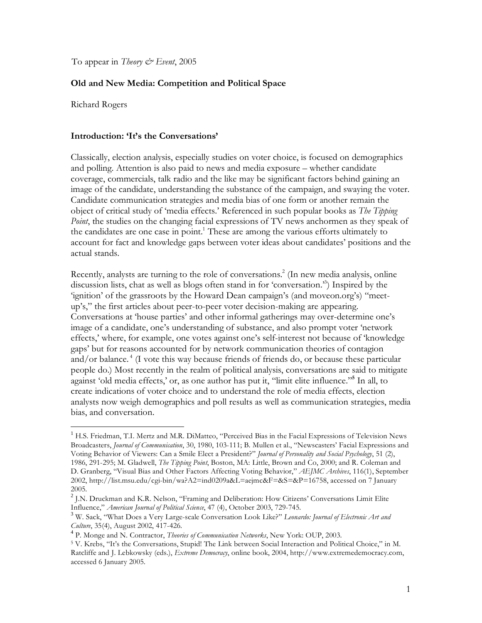To appear in *Theory & Event*, 2005

## **Old and New Media: Competition and Political Space**

Richard Rogers

 $\overline{a}$ 

### **Introduction: 'It's the Conversations'**

Classically, election analysis, especially studies on voter choice, is focused on demographics and polling. Attention is also paid to news and media exposure – whether candidate coverage, commercials, talk radio and the like may be significant factors behind gaining an image of the candidate, understanding the substance of the campaign, and swaying the voter. Candidate communication strategies and media bias of one form or another remain the object of critical study of 'media effects.' Referenced in such popular books as *The Tipping Point*, the studies on the changing facial expressions of TV news anchormen as they speak of the candidates are one case in point.<sup>1</sup> These are among the various efforts ultimately to account for fact and knowledge gaps between voter ideas about candidates' positions and the actual stands.

Recently, analysts are turning to the role of conversations.<sup>2</sup> (In new media analysis, online discussion lists, chat as well as blogs often stand in for 'conversation.'3 ) Inspired by the 'ignition' of the grassroots by the Howard Dean campaign's (and moveon.org's) "meetup's," the first articles about peer-to-peer voter decision-making are appearing. Conversations at 'house parties' and other informal gatherings may over-determine one's image of a candidate, one's understanding of substance, and also prompt voter 'network effects,' where, for example, one votes against one's self-interest not because of 'knowledge gaps' but for reasons accounted for by network communication theories of contagion and/or balance.<sup>4</sup> (I vote this way because friends of friends do, or because these particular people do.) Most recently in the realm of political analysis, conversations are said to mitigate against 'old media effects,' or, as one author has put it, "limit elite influence."**<sup>5</sup>** In all, to create indications of voter choice and to understand the role of media effects, election analysts now weigh demographics and poll results as well as communication strategies, media bias, and conversation.

<sup>&</sup>lt;sup>1</sup> H.S. Friedman, T.I. Mertz and M.R. DiMatteo, "Perceived Bias in the Facial Expressions of Television News Broadcasters, *Journal of Communication*, 30, 1980, 103-111; B. Mullen et al., "Newscasters' Facial Expressions and Voting Behavior of Viewers: Can a Smile Elect a President?" *Journal of Personality and Social Psychology*, 51 (2), 1986, 291-295; M. Gladwell, *The Tipping Point*, Boston, MA: Little, Brown and Co, 2000; and R. Coleman and D. Granberg, "Visual Bias and Other Factors Affecting Voting Behavior," *AEJMC Archives*, 116(1), September 2002, http://list.msu.edu/cgi-bin/wa?A2=ind0209a&L=aejmc&F=&S=&P=16758, accessed on 7 January 2005.

<sup>&</sup>lt;sup>2</sup> J.N. Druckman and K.R. Nelson, "Framing and Deliberation: How Citizens' Conversations Limit Elite Influence," *American Journal of Political Science*, 47 (4), October 2003, 729-745. <sup>3</sup>

W. Sack, "What Does a Very Large-scale Conversation Look Like?" *Leonardo: Journal of Electronic Art and Culture*, 35(4), August 2002, 417-426.<br><sup>4</sup> P. Monge and N. Contractor, *Theories of Communication Networks*, New York: OUP, 2003.

<sup>&</sup>lt;sup>5</sup> V. Krebs, "It's the Conversations, Stupid! The Link between Social Interaction and Political Choice," in M. Ratcliffe and J. Lebkowsky (eds.), *Extreme Democracy*, online book, 2004, http://www.extremedemocracy.com, accessed 6 January 2005.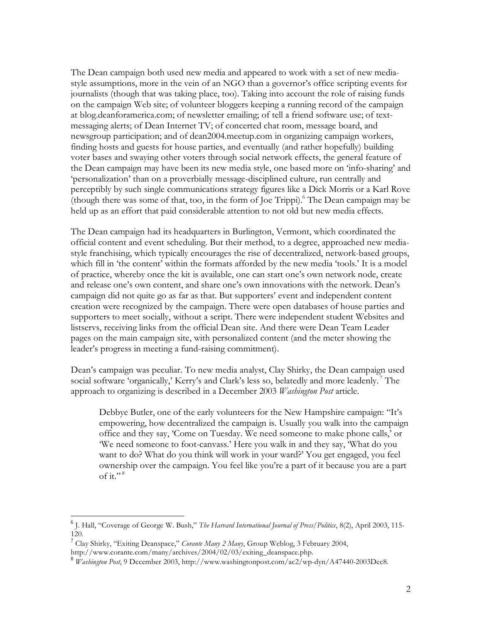The Dean campaign both used new media and appeared to work with a set of new mediastyle assumptions, more in the vein of an NGO than a governor's office scripting events for journalists (though that was taking place, too). Taking into account the role of raising funds on the campaign Web site; of volunteer bloggers keeping a running record of the campaign at blog.deanforamerica.com; of newsletter emailing; of tell a friend software use; of textmessaging alerts; of Dean Internet TV; of concerted chat room, message board, and newsgroup participation; and of dean2004.meetup.com in organizing campaign workers, finding hosts and guests for house parties, and eventually (and rather hopefully) building voter bases and swaying other voters through social network effects, the general feature of the Dean campaign may have been its new media style, one based more on 'info-sharing' and 'personalization' than on a proverbially message-disciplined culture, run centrally and perceptibly by such single communications strategy figures like a Dick Morris or a Karl Rove (though there was some of that, too, in the form of Joe Trippi).6 The Dean campaign may be held up as an effort that paid considerable attention to not old but new media effects.

The Dean campaign had its headquarters in Burlington, Vermont, which coordinated the official content and event scheduling. But their method, to a degree, approached new mediastyle franchising, which typically encourages the rise of decentralized, network-based groups, which fill in 'the content' within the formats afforded by the new media 'tools.' It is a model of practice, whereby once the kit is available, one can start one's own network node, create and release one's own content, and share one's own innovations with the network. Dean's campaign did not quite go as far as that. But supporters' event and independent content creation were recognized by the campaign. There were open databases of house parties and supporters to meet socially, without a script. There were independent student Websites and listservs, receiving links from the official Dean site. And there were Dean Team Leader pages on the main campaign site, with personalized content (and the meter showing the leader's progress in meeting a fund-raising commitment).

Dean's campaign was peculiar. To new media analyst, Clay Shirky, the Dean campaign used social software 'organically,' Kerry's and Clark's less so, belatedly and more leadenly.<sup>7</sup> The approach to organizing is described in a December 2003 *Washington Post* article.

Debbye Butler, one of the early volunteers for the New Hampshire campaign: "It's empowering, how decentralized the campaign is. Usually you walk into the campaign office and they say, 'Come on Tuesday. We need someone to make phone calls,' or 'We need someone to foot-canvass.' Here you walk in and they say, 'What do you want to do? What do you think will work in your ward?' You get engaged, you feel ownership over the campaign. You feel like you're a part of it because you are a part of it." $8$ 

 $\overline{a}$ 

<sup>6</sup> J. Hall, "Coverage of George W. Bush," *The Harvard International Journal of Press/Politics*, 8(2), April 2003, 115- 120.

<sup>7</sup> Clay Shirky, "Exiting Deanspace," *Corante Many 2 Many*, Group Weblog, 3 February 2004,

http://www.corante.com/many/archives/2004/02/03/exiting\_deanspace.php.

<sup>8</sup> *Washington Post*, 9 December 2003, http://www.washingtonpost.com/ac2/wp-dyn/A47440-2003Dec8.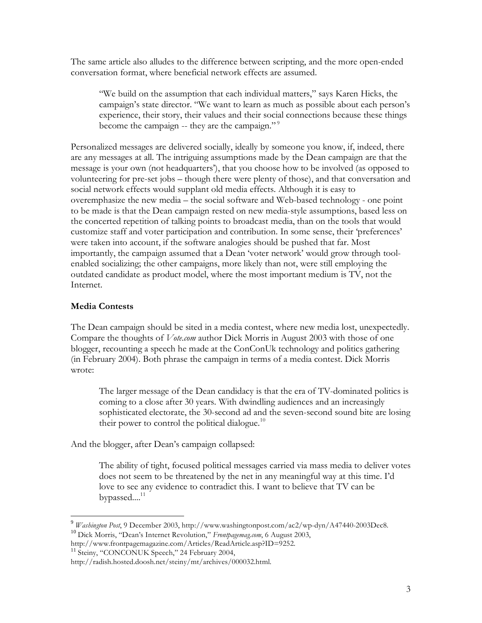The same article also alludes to the difference between scripting, and the more open-ended conversation format, where beneficial network effects are assumed.

"We build on the assumption that each individual matters," says Karen Hicks, the campaign's state director. "We want to learn as much as possible about each person's experience, their story, their values and their social connections because these things become the campaign -- they are the campaign."<sup>9</sup>

Personalized messages are delivered socially, ideally by someone you know, if, indeed, there are any messages at all. The intriguing assumptions made by the Dean campaign are that the message is your own (not headquarters'), that you choose how to be involved (as opposed to volunteering for pre-set jobs – though there were plenty of those), and that conversation and social network effects would supplant old media effects. Although it is easy to overemphasize the new media – the social software and Web-based technology - one point to be made is that the Dean campaign rested on new media-style assumptions, based less on the concerted repetition of talking points to broadcast media, than on the tools that would customize staff and voter participation and contribution. In some sense, their 'preferences' were taken into account, if the software analogies should be pushed that far. Most importantly, the campaign assumed that a Dean 'voter network' would grow through toolenabled socializing; the other campaigns, more likely than not, were still employing the outdated candidate as product model, where the most important medium is TV, not the Internet.

# **Media Contests**

 $\overline{a}$ 

The Dean campaign should be sited in a media contest, where new media lost, unexpectedly. Compare the thoughts of *Vote.com* author Dick Morris in August 2003 with those of one blogger, recounting a speech he made at the ConConUk technology and politics gathering (in February 2004). Both phrase the campaign in terms of a media contest. Dick Morris wrote:

The larger message of the Dean candidacy is that the era of TV-dominated politics is coming to a close after 30 years. With dwindling audiences and an increasingly sophisticated electorate, the 30-second ad and the seven-second sound bite are losing their power to control the political dialogue.<sup>10</sup>

And the blogger, after Dean's campaign collapsed:

The ability of tight, focused political messages carried via mass media to deliver votes does not seem to be threatened by the net in any meaningful way at this time. I'd love to see any evidence to contradict this. I want to believe that TV can be bypassed....<sup>11</sup>

<sup>9</sup> *Washington Post*, 9 December 2003, http://www.washingtonpost.com/ac2/wp-dyn/A47440-2003Dec8. <sup>10</sup> Dick Morris, "Dean's Internet Revolution," *Frontpagemag.com*, 6 August 2003,

http://www.frontpagemagazine.com/Articles/ReadArticle.asp?ID=9252.

<sup>&</sup>lt;sup>11</sup> Steiny, "CONCONUK Speech," 24 February 2004,

http://radish.hosted.doosh.net/steiny/mt/archives/000032.html.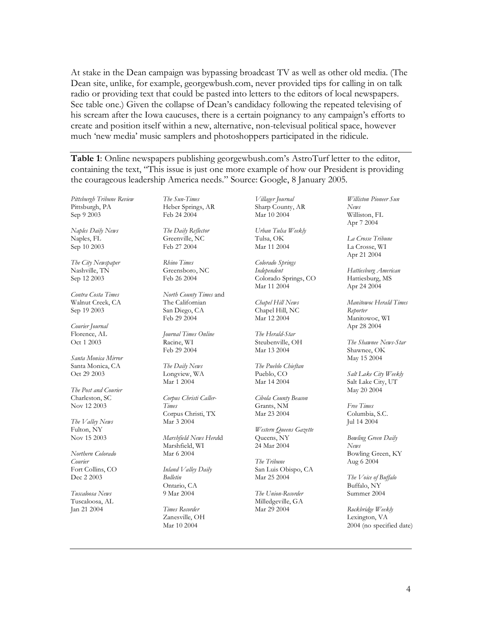At stake in the Dean campaign was bypassing broadcast TV as well as other old media. (The Dean site, unlike, for example, georgewbush.com, never provided tips for calling in on talk radio or providing text that could be pasted into letters to the editors of local newspapers. See table one.) Given the collapse of Dean's candidacy following the repeated televising of his scream after the Iowa caucuses, there is a certain poignancy to any campaign's efforts to create and position itself within a new, alternative, non-televisual political space, however much 'new media' music samplers and photoshoppers participated in the ridicule.

**Table 1**: Online newspapers publishing georgewbush.com's AstroTurf letter to the editor, containing the text, "This issue is just one more example of how our President is providing the courageous leadership America needs." Source: Google, 8 January 2005.

*Pittsburgh Tribune Review*  Pittsburgh, PA Sep 9 2003

*Naples Daily News*  Naples, FL Sep 10 2003

*The City Newspaper*  Nashville, TN Sep 12 2003

*Contra Costa Times*  Walnut Creek, CA Sep 19 2003

*Courier Journal*  Florence, AL Oct 1 2003

*Santa Monica Mirror*  Santa Monica, CA Oct 29 2003

*The Post and Courier*  Charleston, SC Nov 12 2003

*The Valley News*  Fulton, NY Nov 15 2003

*Northern Colorado Courier*  Fort Collins, CO Dec 2 2003

*Tuscaloosa News*  Tuscaloosa, AL Jan 21 2004

*The Sun-Times*  Heber Springs, AR Feb 24 2004

*The Daily Reflector*  Greenville, NC Feb 27 2004

*Rhino Times*  Greensboro, NC Feb 26 2004

*North County Times* and The Californian San Diego, CA Feb 29 2004

*Journal Times Online*  Racine, WI Feb 29 2004

*The Daily News*  Longview, WA Mar 1 2004

*Corpus Christi Caller-Times*  Corpus Christi, TX Mar 3 2004

*Marshfield News Hera*ld Marshfield, WI Mar 6 2004

*Inland Valley Daily Bulletin*  Ontario, CA 9 Mar 2004

*Times Recorder*  Zanesville, OH Mar 10 2004

*Villager Journal*  Sharp County, AR Mar 10 2004

*Urban Tulsa Weekly*  Tulsa, OK Mar 11 2004

*Colorado Springs Independent*  Colorado Springs, CO Mar 11 2004

*Chapel Hill News*  Chapel Hill, NC Mar 12 2004

*The Herald-Star*  Steubenville, OH Mar 13 2004

*The Pueblo Chieftan*  Pueblo, CO Mar 14 2004

*Cibola County Beacon*  Grants, NM Mar 23 2004

*Western Queens Gazette*  Queens, NY 24 Mar 2004

*The Tribune*  San Luis Obispo, CA Mar 25 2004

*The Union-Recorder*  Milledgeville, GA Mar 29 2004

*Williston Pioneer Sun News*  Williston, FL Apr 7 2004

*La Crosse Tribune*  La Crosse, WI Apr 21 2004

*Hattiesburg American*  Hattiesburg, MS Apr 24 2004

*Manitowoc Herald Times Reporter*  Manitowoc, WI Apr 28 2004

*The Shawnee News-Star*  Shawnee, OK May 15 2004

*Salt Lake City Weekly*  Salt Lake City, UT May 20 2004

*Free Times*  Columbia, S.C. Jul 14 2004

*Bowling Green Daily News*  Bowling Green, KY Aug 6 2004

*The Voice of Buffalo*  Buffalo, NY Summer 2004

*Rockbridge Weekly*  Lexington, VA 2004 (no specified date)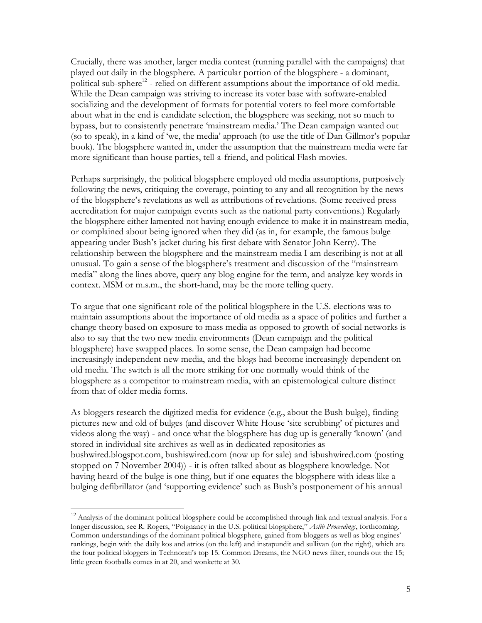Crucially, there was another, larger media contest (running parallel with the campaigns) that played out daily in the blogsphere. A particular portion of the blogsphere - a dominant, political sub-sphere $^{12}$  - relied on different assumptions about the importance of old media. While the Dean campaign was striving to increase its voter base with software-enabled socializing and the development of formats for potential voters to feel more comfortable about what in the end is candidate selection, the blogsphere was seeking, not so much to bypass, but to consistently penetrate 'mainstream media.' The Dean campaign wanted out (so to speak), in a kind of 'we, the media' approach (to use the title of Dan Gillmor's popular book). The blogsphere wanted in, under the assumption that the mainstream media were far more significant than house parties, tell-a-friend, and political Flash movies.

Perhaps surprisingly, the political blogsphere employed old media assumptions, purposively following the news, critiquing the coverage, pointing to any and all recognition by the news of the blogsphere's revelations as well as attributions of revelations. (Some received press accreditation for major campaign events such as the national party conventions.) Regularly the blogsphere either lamented not having enough evidence to make it in mainstream media, or complained about being ignored when they did (as in, for example, the famous bulge appearing under Bush's jacket during his first debate with Senator John Kerry). The relationship between the blogsphere and the mainstream media I am describing is not at all unusual. To gain a sense of the blogsphere's treatment and discussion of the "mainstream media" along the lines above, query any blog engine for the term, and analyze key words in context. MSM or m.s.m., the short-hand, may be the more telling query.

To argue that one significant role of the political blogsphere in the U.S. elections was to maintain assumptions about the importance of old media as a space of politics and further a change theory based on exposure to mass media as opposed to growth of social networks is also to say that the two new media environments (Dean campaign and the political blogsphere) have swapped places. In some sense, the Dean campaign had become increasingly independent new media, and the blogs had become increasingly dependent on old media. The switch is all the more striking for one normally would think of the blogsphere as a competitor to mainstream media, with an epistemological culture distinct from that of older media forms.

As bloggers research the digitized media for evidence (e.g., about the Bush bulge), finding pictures new and old of bulges (and discover White House 'site scrubbing' of pictures and videos along the way) - and once what the blogsphere has dug up is generally 'known' (and stored in individual site archives as well as in dedicated repositories as bushwired.blogspot.com, bushiswired.com (now up for sale) and isbushwired.com (posting stopped on 7 November 2004)) - it is often talked about as blogsphere knowledge. Not having heard of the bulge is one thing, but if one equates the blogsphere with ideas like a bulging defibrillator (and 'supporting evidence' such as Bush's postponement of his annual

 $\overline{a}$ 

<sup>&</sup>lt;sup>12</sup> Analysis of the dominant political blogsphere could be accomplished through link and textual analysis. For a longer discussion, see R. Rogers, "Poignancy in the U.S. political blogsphere," *Aslib Proceedings*, forthcoming. Common understandings of the dominant political blogsphere, gained from bloggers as well as blog engines' rankings, begin with the daily kos and atrios (on the left) and instapundit and sullivan (on the right), which are the four political bloggers in Technorati's top 15. Common Dreams, the NGO news filter, rounds out the 15; little green footballs comes in at 20, and wonkette at 30.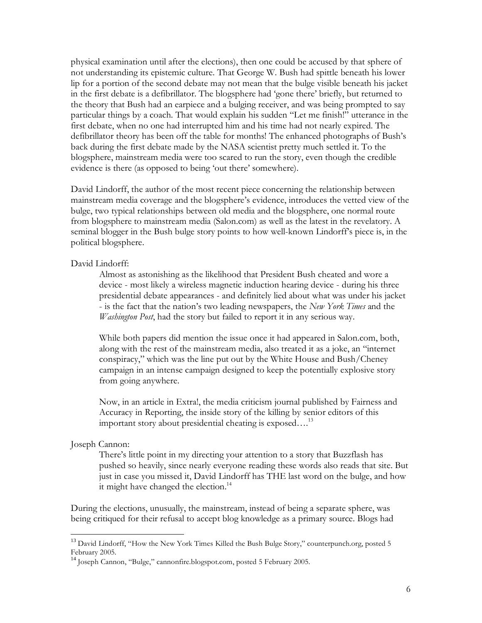physical examination until after the elections), then one could be accused by that sphere of not understanding its epistemic culture. That George W. Bush had spittle beneath his lower lip for a portion of the second debate may not mean that the bulge visible beneath his jacket in the first debate is a defibrillator. The blogsphere had 'gone there' briefly, but returned to the theory that Bush had an earpiece and a bulging receiver, and was being prompted to say particular things by a coach. That would explain his sudden "Let me finish!" utterance in the first debate, when no one had interrupted him and his time had not nearly expired. The defibrillator theory has been off the table for months! The enhanced photographs of Bush's back during the first debate made by the NASA scientist pretty much settled it. To the blogsphere, mainstream media were too scared to run the story, even though the credible evidence is there (as opposed to being 'out there' somewhere).

David Lindorff, the author of the most recent piece concerning the relationship between mainstream media coverage and the blogsphere's evidence, introduces the vetted view of the bulge, two typical relationships between old media and the blogsphere, one normal route from blogsphere to mainstream media (Salon.com) as well as the latest in the revelatory. A seminal blogger in the Bush bulge story points to how well-known Lindorff's piece is, in the political blogsphere.

### David Lindorff:

Almost as astonishing as the likelihood that President Bush cheated and wore a device - most likely a wireless magnetic induction hearing device - during his three presidential debate appearances - and definitely lied about what was under his jacket - is the fact that the nation's two leading newspapers, the *New York Times* and the *Washington Post*, had the story but failed to report it in any serious way.

While both papers did mention the issue once it had appeared in Salon.com, both, along with the rest of the mainstream media, also treated it as a joke, an "internet conspiracy," which was the line put out by the White House and Bush/Cheney campaign in an intense campaign designed to keep the potentially explosive story from going anywhere.

Now, in an article in Extra!, the media criticism journal published by Fairness and Accuracy in Reporting, the inside story of the killing by senior editors of this important story about presidential cheating is exposed....<sup>13</sup>

#### Joseph Cannon:

 $\overline{a}$ 

There's little point in my directing your attention to a story that Buzzflash has pushed so heavily, since nearly everyone reading these words also reads that site. But just in case you missed it, David Lindorff has THE last word on the bulge, and how it might have changed the election.<sup>14</sup>

During the elections, unusually, the mainstream, instead of being a separate sphere, was being critiqued for their refusal to accept blog knowledge as a primary source. Blogs had

<sup>&</sup>lt;sup>13</sup> David Lindorff, "How the New York Times Killed the Bush Bulge Story," counterpunch.org, posted 5 February 2005.

<sup>&</sup>lt;sup>14</sup> Joseph Cannon, "Bulge," cannonfire.blogspot.com, posted 5 February 2005.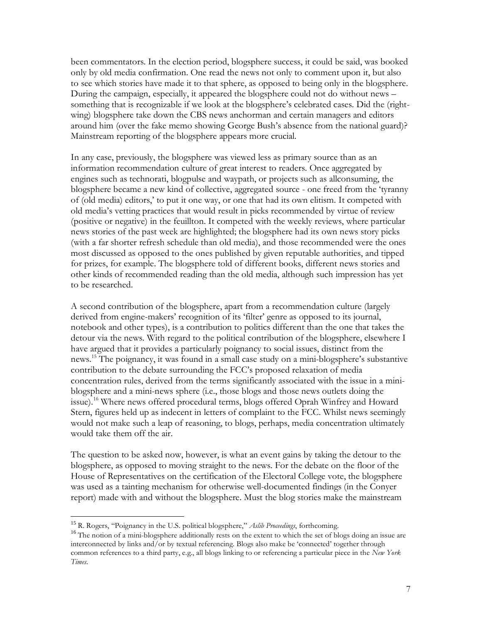been commentators. In the election period, blogsphere success, it could be said, was booked only by old media confirmation. One read the news not only to comment upon it, but also to see which stories have made it to that sphere, as opposed to being only in the blogsphere. During the campaign, especially, it appeared the blogsphere could not do without news – something that is recognizable if we look at the blogsphere's celebrated cases. Did the (rightwing) blogsphere take down the CBS news anchorman and certain managers and editors around him (over the fake memo showing George Bush's absence from the national guard)? Mainstream reporting of the blogsphere appears more crucial.

In any case, previously, the blogsphere was viewed less as primary source than as an information recommendation culture of great interest to readers. Once aggregated by engines such as technorati, blogpulse and waypath, or projects such as allconsuming, the blogsphere became a new kind of collective, aggregated source - one freed from the 'tyranny of (old media) editors,' to put it one way, or one that had its own elitism. It competed with old media's vetting practices that would result in picks recommended by virtue of review (positive or negative) in the feuillton. It competed with the weekly reviews, where particular news stories of the past week are highlighted; the blogsphere had its own news story picks (with a far shorter refresh schedule than old media), and those recommended were the ones most discussed as opposed to the ones published by given reputable authorities, and tipped for prizes, for example. The blogsphere told of different books, different news stories and other kinds of recommended reading than the old media, although such impression has yet to be researched.

A second contribution of the blogsphere, apart from a recommendation culture (largely derived from engine-makers' recognition of its 'filter' genre as opposed to its journal, notebook and other types), is a contribution to politics different than the one that takes the detour via the news. With regard to the political contribution of the blogsphere, elsewhere I have argued that it provides a particularly poignancy to social issues, distinct from the news.15 The poignancy, it was found in a small case study on a mini-blogsphere's substantive contribution to the debate surrounding the FCC's proposed relaxation of media concentration rules, derived from the terms significantly associated with the issue in a miniblogsphere and a mini-news sphere (i.e., those blogs and those news outlets doing the issue).<sup>16</sup> Where news offered procedural terms, blogs offered Oprah Winfrey and Howard Stern, figures held up as indecent in letters of complaint to the FCC. Whilst news seemingly would not make such a leap of reasoning, to blogs, perhaps, media concentration ultimately would take them off the air.

The question to be asked now, however, is what an event gains by taking the detour to the blogsphere, as opposed to moving straight to the news. For the debate on the floor of the House of Representatives on the certification of the Electoral College vote, the blogsphere was used as a tainting mechanism for otherwise well-documented findings (in the Conyer report) made with and without the blogsphere. Must the blog stories make the mainstream

<sup>&</sup>lt;sup>15</sup> R. Rogers, "Poignancy in the U.S. political blogsphere," Aslib Proceedings, forthcoming.

<sup>&</sup>lt;sup>16</sup> The notion of a mini-blogsphere additionally rests on the extent to which the set of blogs doing an issue are interconnected by links and/or by textual referencing. Blogs also make be 'connected' together through common references to a third party, e.g., all blogs linking to or referencing a particular piece in the *New York Times*.